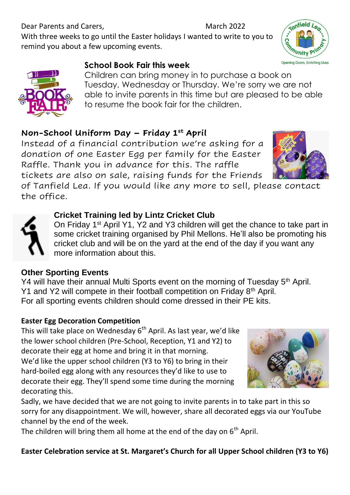### **Easter Celebration service at St. Margaret's Church for all Upper School children (Y3 to Y6)**

Dear Parents and Carers, March 2022 With three weeks to go until the Easter holidays I wanted to write to you to remind you about a few upcoming events.

#### **School Book Fair this week**

Children can bring money in to purchase a book on Tuesday, Wednesday or Thursday. We're sorry we are not able to invite parents in this time but are pleased to be able to resume the book fair for the children.

#### **Non-School Uniform Day – Friday 1st April**

Instead of a financial contribution we're asking for a donation of one Easter Egg per family for the Easter Raffle. Thank you in advance for this. The raffle tickets are also on sale, raising funds for the Friends

of Tanfield Lea. If you would like any more to sell, please contact the office.

#### **Cricket Training led by Lintz Cricket Club**

On Friday 1st April Y1, Y2 and Y3 children will get the chance to take part in some cricket training organised by Phil Mellons. He'll also be promoting his cricket club and will be on the yard at the end of the day if you want any more information about this.

#### **Other Sporting Events**

Y4 will have their annual Multi Sports event on the morning of Tuesday 5<sup>th</sup> April. Y1 and Y2 will compete in their football competition on Friday 8<sup>th</sup> April. For all sporting events children should come dressed in their PE kits.

#### **Easter Egg Decoration Competition**

This will take place on Wednesday  $6<sup>th</sup>$  April. As last year, we'd like the lower school children (Pre-School, Reception, Y1 and Y2) to decorate their egg at home and bring it in that morning. We'd like the upper school children (Y3 to Y6) to bring in their hard-boiled egg along with any resources they'd like to use to decorate their egg. They'll spend some time during the morning decorating this.

Sadly, we have decided that we are not going to invite parents in to take part in this so sorry for any disappointment. We will, however, share all decorated eggs via our YouTube channel by the end of the week.

The children will bring them all home at the end of the day on  $6<sup>th</sup>$  April.